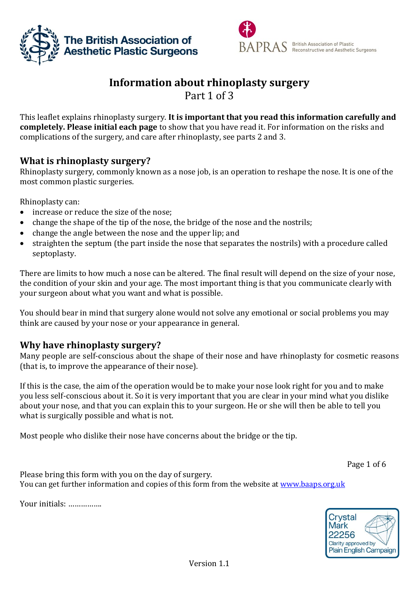



## **Information about rhinoplasty surgery**

Part 1 of 3

This leaflet explains rhinoplasty surgery. **It is important that you read this information carefully and completely. Please initial each page** to show that you have read it. For information on the risks and complications of the surgery, and care after rhinoplasty, see parts 2 and 3.

## **What is rhinoplasty surgery?**

Rhinoplasty surgery, commonly known as a nose job, is an operation to reshape the nose. It is one of the most common plastic surgeries.

Rhinoplasty can:

- increase or reduce the size of the nose;
- change the shape of the tip of the nose, the bridge of the nose and the nostrils;
- change the angle between the nose and the upper lip; and
- straighten the septum (the part inside the nose that separates the nostrils) with a procedure called septoplasty.

There are limits to how much a nose can be altered. The final result will depend on the size of your nose, the condition of your skin and your age. The most important thing is that you communicate clearly with your surgeon about what you want and what is possible.

You should bear in mind that surgery alone would not solve any emotional or social problems you may think are caused by your nose or your appearance in general.

## **Why have rhinoplasty surgery?**

Many people are self-conscious about the shape of their nose and have rhinoplasty for cosmetic reasons (that is, to improve the appearance of their nose).

If this is the case, the aim of the operation would be to make your nose look right for you and to make you less self-conscious about it. So it is very important that you are clear in your mind what you dislike about your nose, and that you can explain this to your surgeon. He or she will then be able to tell you what is surgically possible and what is not.

Most people who dislike their nose have concerns about the bridge or the tip.

Page 1 of 6

Please bring this form with you on the day of surgery. You can get further information and copies of this form from the website at [www.baaps.org.uk](http://www.baaps.org.uk/)

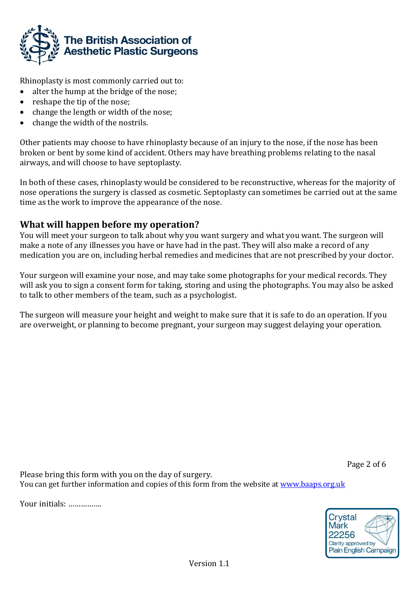

Rhinoplasty is most commonly carried out to:

- alter the hump at the bridge of the nose;
- reshape the tip of the nose;
- change the length or width of the nose;
- change the width of the nostrils.

Other patients may choose to have rhinoplasty because of an injury to the nose, if the nose has been broken or bent by some kind of accident. Others may have breathing problems relating to the nasal airways, and will choose to have septoplasty.

In both of these cases, rhinoplasty would be considered to be reconstructive, whereas for the majority of nose operations the surgery is classed as cosmetic. Septoplasty can sometimes be carried out at the same time as the work to improve the appearance of the nose.

### **What will happen before my operation?**

You will meet your surgeon to talk about why you want surgery and what you want. The surgeon will make a note of any illnesses you have or have had in the past. They will also make a record of any medication you are on, including herbal remedies and medicines that are not prescribed by your doctor.

Your surgeon will examine your nose, and may take some photographs for your medical records. They will ask you to sign a consent form for taking, storing and using the photographs. You may also be asked to talk to other members of the team, such as a psychologist.

The surgeon will measure your height and weight to make sure that it is safe to do an operation. If you are overweight, or planning to become pregnant, your surgeon may suggest delaying your operation.

Page 2 of 6

Please bring this form with you on the day of surgery. You can get further information and copies of this form from the website at [www.baaps.org.uk](http://www.baaps.org.uk/)

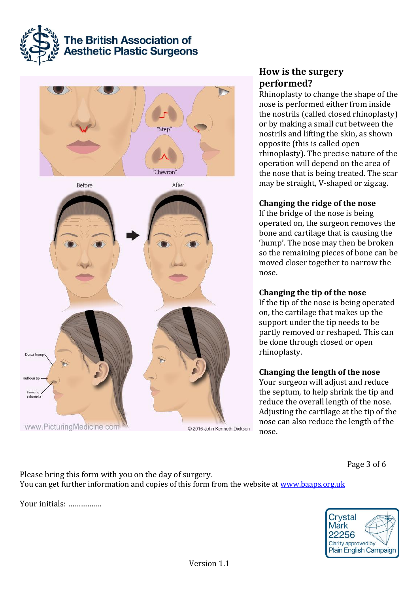

# The British Association of<br>Aesthetic Plastic Surgeons



## **How is the surgery performed?**

Rhinoplasty to change the shape of the nose is performed either from inside the nostrils (called closed rhinoplasty) or by making a small cut between the nostrils and lifting the skin, as shown opposite (this is called open rhinoplasty). The precise nature of the operation will depend on the area of the nose that is being treated. The scar may be straight, V-shaped or zigzag.

## **Changing the ridge of the nose**

If the bridge of the nose is being operated on, the surgeon removes the bone and cartilage that is causing the 'hump'. The nose may then be broken so the remaining pieces of bone can be moved closer together to narrow the nose.

#### **Changing the tip of the nose**

If the tip of the nose is being operated on, the cartilage that makes up the support under the tip needs to be partly removed or reshaped. This can be done through closed or open rhinoplasty.

## **Changing the length of the nose**

Your surgeon will adjust and reduce the septum, to help shrink the tip and reduce the overall length of the nose. Adjusting the cartilage at the tip of the nose can also reduce the length of the nose.

Page 3 of 6

Please bring this form with you on the day of surgery. You can get further information and copies of this form from the website at [www.baaps.org.uk](http://www.baaps.org.uk/)

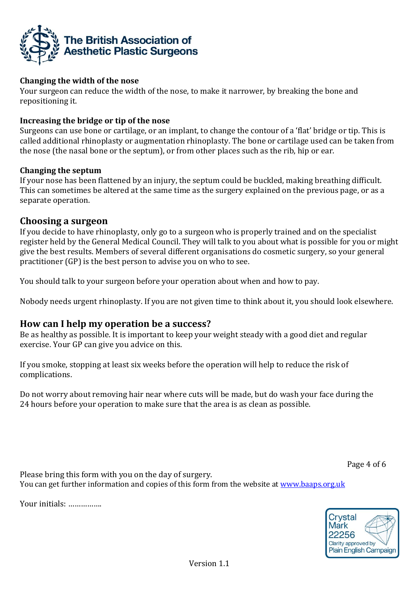

#### **Changing the width of the nose**

Your surgeon can reduce the width of the nose, to make it narrower, by breaking the bone and repositioning it.

#### **Increasing the bridge or tip of the nose**

Surgeons can use bone or cartilage, or an implant, to change the contour of a 'flat' bridge or tip. This is called additional rhinoplasty or augmentation rhinoplasty. The bone or cartilage used can be taken from the nose (the nasal bone or the septum), or from other places such as the rib, hip or ear.

#### **Changing the septum**

If your nose has been flattened by an injury, the septum could be buckled, making breathing difficult. This can sometimes be altered at the same time as the surgery explained on the previous page, or as a separate operation.

#### **Choosing a surgeon**

If you decide to have rhinoplasty, only go to a surgeon who is properly trained and on the specialist register held by the General Medical Council. They will talk to you about what is possible for you or might give the best results. Members of several different organisations do cosmetic surgery, so your general practitioner (GP) is the best person to advise you on who to see.

You should talk to your surgeon before your operation about when and how to pay.

Nobody needs urgent rhinoplasty. If you are not given time to think about it, you should look elsewhere.

#### **How can I help my operation be a success?**

Be as healthy as possible. It is important to keep your weight steady with a good diet and regular exercise. Your GP can give you advice on this.

If you smoke, stopping at least six weeks before the operation will help to reduce the risk of complications.

Do not worry about removing hair near where cuts will be made, but do wash your face during the 24 hours before your operation to make sure that the area is as clean as possible.

Page 4 of 6

Please bring this form with you on the day of surgery. You can get further information and copies of this form from the website at [www.baaps.org.uk](http://www.baaps.org.uk/)

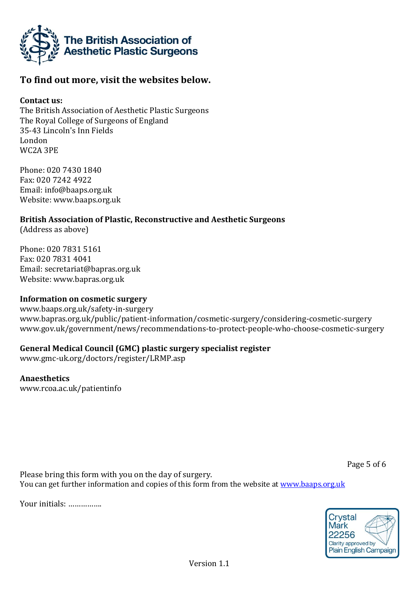

## **To find out more, visit the websites below.**

#### **Contact us:**

The British Association of Aesthetic Plastic Surgeons The Royal College of Surgeons of England 35-43 Lincoln's Inn Fields London WC2A 3PE

Phone: 020 7430 1840 Fax: 020 7242 4922 Email: [info@baaps.org.uk](mailto:info@baaps.org.uk) Website: www.baaps.org.uk

**British Association of Plastic, Reconstructive and Aesthetic Surgeons**

(Address as above)

Phone: 020 7831 5161 Fax: 020 7831 4041 Email: [secretariat@bapras.org.uk](mailto:secretariat@bapras.org.uk) Website: www.bapras.org.uk

#### **Information on cosmetic surgery**

[www.baaps.org.uk/safety-in-surgery](http://www.baaps.org.uk/safety-in-surgery) www.bapras.org.uk/public/patient-information/cosmetic-surgery/considering-cosmetic-surgery www.gov.uk/government/news/recommendations-to-protect-people-who-choose-cosmetic-surgery

#### **General Medical Council (GMC) plastic surgery specialist register**

www.gmc-uk.org/doctors/register/LRMP.asp

#### **Anaesthetics**

[www.rcoa.ac.uk/patientinfo](http://www.rcoa.ac.uk/patientinfo)

Page 5 of 6

Please bring this form with you on the day of surgery. You can get further information and copies of this form from the website at [www.baaps.org.uk](http://www.baaps.org.uk/)